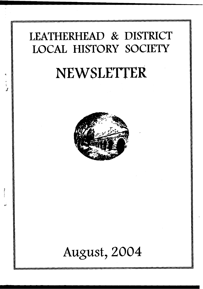### **LEATHERHEAD & DISTRICT LOCAL HISTORY SOCIETY**

# **NEWSLETTER**



## **August, 2004**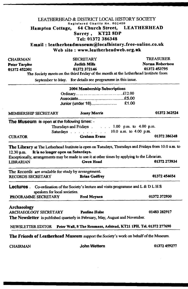|                                                                                                                                                                                                                                                                                  | LEATHERHEAD & DISTRICT LOCAL HISTORY SOCIETY                         |                                                                                     |
|----------------------------------------------------------------------------------------------------------------------------------------------------------------------------------------------------------------------------------------------------------------------------------|----------------------------------------------------------------------|-------------------------------------------------------------------------------------|
| Hampton Cottage,                                                                                                                                                                                                                                                                 | Registered Charity No. 802409                                        | 64 Church Street, LEATHERHEAD                                                       |
|                                                                                                                                                                                                                                                                                  | Surrey, KT22 8DP                                                     |                                                                                     |
|                                                                                                                                                                                                                                                                                  | Tel: 01372 386348                                                    |                                                                                     |
|                                                                                                                                                                                                                                                                                  |                                                                      | Email: leatherheadmuseum@localhistory.free-online.co.uk                             |
|                                                                                                                                                                                                                                                                                  | Web site: www.leatherheadweb.org.uk                                  |                                                                                     |
| <b>CHAIRMAN</b>                                                                                                                                                                                                                                                                  | <b>SECRETARY</b>                                                     | <b>TREASURER</b>                                                                    |
| <b>Peter Tarplee</b>                                                                                                                                                                                                                                                             | Judith Mills                                                         | Norma Robertson                                                                     |
| 01372 452301                                                                                                                                                                                                                                                                     | 01372 372146                                                         | 01372 453795                                                                        |
|                                                                                                                                                                                                                                                                                  | September to May. For details see programme in this issue.           | The Society meets on the third Friday of the month at the Letherhead Institute from |
|                                                                                                                                                                                                                                                                                  |                                                                      |                                                                                     |
|                                                                                                                                                                                                                                                                                  | 2004 Membership Subscriptions                                        |                                                                                     |
|                                                                                                                                                                                                                                                                                  |                                                                      |                                                                                     |
|                                                                                                                                                                                                                                                                                  | Junior (under 18)                                                    | £1.00                                                                               |
| <b>MEMBERSHIP SECRETARY</b>                                                                                                                                                                                                                                                      | <b>Jenny Morris</b>                                                  | 01372 362524                                                                        |
| The Museum is open at the following times: -                                                                                                                                                                                                                                     |                                                                      |                                                                                     |
|                                                                                                                                                                                                                                                                                  | Thursdays and Fridays 1.00 p.m. to 4.00 p.m.                         |                                                                                     |
|                                                                                                                                                                                                                                                                                  | Saturdays $\ldots$ $\ldots$ $\ldots$ $\ldots$ 10.0 a.m. to 4.00 p.m. |                                                                                     |
| <b>CURATOR</b>                                                                                                                                                                                                                                                                   | <b>Graham Evans</b>                                                  | 01372 386348                                                                        |
| The Library at The Letherhead Institute is open on Tuesdays, Thursdays and Fridays from 10.0 a.m. to<br>It is no longer open on Saturdays.<br>$12.30$ p.m.<br>Exceptionally, arrangements may be made to use it at other times by applying to the Librarian.<br><b>LIBRARIAN</b> | <b>Gwen Hoad</b>                                                     | 01372 273934                                                                        |
| The Records are available for study by arrangement.                                                                                                                                                                                                                              |                                                                      |                                                                                     |
| <b>RECORDS SECRETARY</b>                                                                                                                                                                                                                                                         | <b>Brian Godfrey</b>                                                 | 01372 454654                                                                        |
| <b>Lectures</b> . Co-ordination of the Society's lecture and visits programme and L & D L H S<br>speakers for local societies.                                                                                                                                                   |                                                                      |                                                                                     |
| PROGRAMME SECRETARY                                                                                                                                                                                                                                                              | <b>Fred Meynen</b>                                                   | 01372 372930                                                                        |
|                                                                                                                                                                                                                                                                                  |                                                                      |                                                                                     |
| Archaeology<br>ARCHAEOLOGY SECRETARY<br><b>The Newsletter</b> is published quarterly in February, May, August and November.                                                                                                                                                      | <b>Pauline Hulse</b>                                                 | 01483 282917                                                                        |
| NEWSLETTER EDITOR Peter Wall, 8 The Renmans, Ashtead, KT21 1PH. Tel. 01372 277690                                                                                                                                                                                                |                                                                      |                                                                                     |
| The Friends of Leatherhead Museum support the Society's work on behalf of the Museum.                                                                                                                                                                                            |                                                                      |                                                                                     |

à,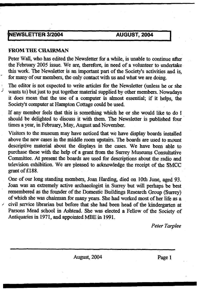#### **[NEWSLETTER 3/2004 AUGUST, 2004**

#### FROM THE CHAIRMAN

 $\mathcal{J}$ 

Peter Wall, who has edited the Newsletter for a while, is unable to continue after the February 2005 issue. We are, therefore, in need of a volunteer to undertake this work. The Newsletter is an important part of the Society's activities and is, for many of our members, the only contact with us and what we are doing.

The editor is not expected to write articles for the Newsletter (unless he or she wants to) but just to put together material supplied by other members. Nowadays it does mean that the use of a computer is almost essential; if it helps, the Society's computer at Hampton Cottage could be used.

If any member feels that this is something which he or she would like to do I should be delighted to discuss it with them. The Newsletter is published four times a year, in February, May, August and November.

Visitors to the museum may have noticed that we have display boards installed above the new cases in the middle room upstairs. The boards are used to mount descriptive material about the displays in the cases. We have been able to purchase these with the help of a grant from the Surrey Museums Consultative Committee. At present the boards are used for descriptions about the radio and television exhibition. We are pleased to acknowledge the receipt of the SMCC grant of £188.

One of our long standing members, Joan Harding, died on 10th June, aged 93. Joan was an extremely active archaeologist in Surrey but will perhaps be best remembered as the founder of the Domestic Buildings Research Group (Surrey) of which she was chairman for many years. She had worked most of her life as a civil service librarian but before that she had been head of the kindergarten at Parsons Mead school in Ashtead. She was elected a Fellow of the Society of Antiquaries in 1971, and appointed MBE in 1991.

*Peter Tarplee*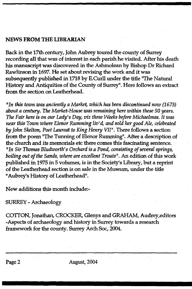#### NEWS FROM THE LIBRARIAN

Back in the 17th century, John Aubrey toured the county of Surrey recording all that was of interest in each parish he visited. After his death his manuscript was discovered in the Ashmolean by Bishop Dr Richard Rawlinson in 1697. He set about revising the work and it was subsequently published in 1718 by E.Curll under the title "The Natural History and Antiquities of the County of Surrey". Here follows an extract from the section on Leatherhead.

*"In this town was anciently a Market*, *which has been discontinued now (1673) about a century. The Market-House was remaining here within these 50 years. The Fair here is on our Lady's Day, viz three Weeks before Michaelmas. It was near this Town where Elenor Rumming liv'd, and sold her good Ale, celebrated by John Skelton, Poet Laureat to King Henry VII".* There follows a section from the poem "The Tunning of Elenor Rumming". After a description of the church and its memorials etc there comes this fascinating sentence. *"In Sir Thomas Bludworth's Orchard is a Pond, consisting of several springs, boiling out of the Sands, where are excellent Trouts".* An edition of this work published in 1975 in 5 volumes, is in the Society's Library, but a reprint of the Leatherhead section is on sale in the Museum, under the tide "Aubrey's History of Leatherhead".

New additions this month include:-

#### SURREY - Archaeology

COTTON, Jonathan, CROCKER, Glenys and GRAHAM, Audrey,editors -Aspects of archaeology and history in Surrey towards a research framework for the county. Surrey Arch Soc, 2004.

Page 2 August, 2004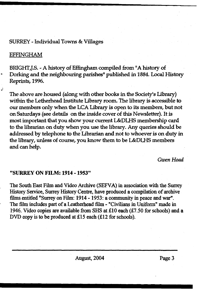#### SURREY - Individual Towns & Villages

#### EFFINGHAM

BRIGHT,J.S. - A history of Effingham compiled from "A history of Dorking and the neighbouring parishes" published in 1884. Local History Reprints, 1996.

The above are housed (along with other books in the Society's Library) within the Letherhead Institute library room. The library is accessible to our members only when the LCA Library is open to its members, but not on Saturdays (see details on the inside cover of this Newsletter). It is most important that you show your current L&DLHS membership card to the librarian on duty when you use the library. Any queries should be addressed by telephone to the Librarian and not to whoever is on duty in the library, unless of course, you know them to be L&DLHS members and can help.

*Gwen Hoad*

#### **"SURREY ON FILM: 1914 -1953"**

The South East Film and Video Archive (SEFVA) in association with the Surrey History Service, Surrey History Centre, have produced a compilation of archive films entitled "Surrey on Film: 1914 -1953: a community in peace and war". The film includes part of a Leatherhead film - "Civilians in Uniform" made in 1946. Video copies are available from SHS at £10 each (£7.50 for schools) and a DVD copy is to be produced at £15 each (£12 for schools).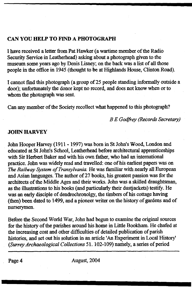#### **CAN YOU HELP TO FIND A PHOTOGRAPH**

I have received a letter from Pat Hawker (a wartime member of the Radio Security Service in Leatherhead) asking about a photograph given to the museum some years ago by Denis Lisney; on the back was a list of all those people in the office in 1945 (thought to be at Highlands House, Clinton Road).

I cannot find this photograph (a group of 25 people standing informally outside a door); unfortunately the donor kept no record, and does not know when or to whom the photograph was sent.

Can any member of the Society recollect what happened to this photograph?

*B E Godfrey (Records Secretary)*

#### **JOHN HARVEY**

John Hooper Harvey (1911 -1997) was bom in St John's Wood, London and educated at St John's School, Leatherhead before architectural apprenticeships with Sir Herbert Baker and with his own father, who had an international practice. John was widely read and travelled: one of his earliest papers was on *The Railway System of Transylvania.* He was familiar with nearly all European and Asian languages. The author of 27 books, his greatest passion was for the architects of the Middle Ages and their works. John was a skilled draughtsman, as the illustrations to his books (and particularly their dustjackets) testify. He was an early disciple of dendrochronolgy, the timbers of his cottage having (then) been dated to 1499, and a pioneer writer on the history of gardens and of nurserymen.

Before the Second World War, John had begun to examine the original sources for the history of the parishes around his home in Little Bookham. He chafed at the increasing cost and other difficulties of detailed publication of parish histories, and set out his solution in an article 'An Experiment in Local History' *(Surrey Archaeological Collections* 51.102-109) namely, a series of period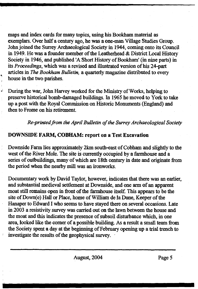maps and index cards for many topics, using his Bookham material as exemplars. Over half a century ago, he was a one-man Village Studies Group. John joined the Surrey Archaeological Society in 1944, coming onto its Council in 1949. He was a founder member of the Leatherhead & District Local History Society in 1946, and published 'A Short History of Bookham' (in nine parts) in its *Proceedings,* which was a revised and illustrated version of his 24-part articles in *The Bookham Bulletin,* a quarterly magazine distributed to every house in the two parishes.

During the war, John Harvey worked for the Ministry of Works, helping to preserve historical bomb-damaged buildings. In 1965 he moved to York to take up a post with the Royal Commission on Historic Monuments (England) and then to Frome on his retirement.

*Re-printedfrom the April Bulletin of the Surrey Archaeological Society*

#### **DOWNSIDE FARM, COBHAM: report on a Test Excavation**

 $\mathbf{r}$ 

Downside Farm lies approximately 2km south-east of Cobham and slightly to the west of the River Mole. The site is currently occupied by a farmhouse and a series of outbuildings, many of which are 18th century in date and originate from the period when the nearby mill was an ironworks.

Documentary work by David Taylor, however, indicates that there was an earlier, and substantial medieval settlement at Downside, and one arm of an apparent moat still remains open in front of the farmhouse itself. This appears to be the site of Down(e) Hall or Place, home of William de la Dune, Keeper of the Hanaper to Edward I who seems to have stayed there on several occasions. Late in 2003 a resistivity survey was carried out on the lawn between the house and the moat and this indicates the presence of subsoil disturbance which, in one area, looked like the comer of a possible building. As a result a small team from the Society spent a day at the beginning of February opening up a trial trench to investigate the results of the geophysical survey.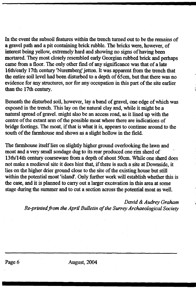In the event the subsoil features within the trench turned out to be the remains of a gravel path and a pit containing brick rubble. The bricks were, however, of interest being yellow, extremely hard and showing no signs of having been mortared. They most closely resembled early Georgian rubbed brick and perhaps came from a floor. The only other find of any significance was that of a late 16th/early 17th century 'Nuremberg' jetton. It was apparent from the trench that the entire soil level had been disturbed to a depth of 65cm, but that there was no evidence for any structures, nor for any occupation in this part of the site earlier than the 17th century.

Beneath the disturbed soil, however, lay a band of gravel, one edge of which was exposed in the trench. This lay on the natural clay and, while it might be a natural spread of gravel, might also be an access road, as it lined up with the centre of the extant arm of the possible moat where there are indications of bridge footings. The moat, if that is what it is, appears to continue around to the south of the farmhouse and shows as a slight hollow in the field.

The farmhouse itself lies on slightly higher ground overlooking the lawn and moat and a very small sondage dug to its rear produced one rim sherd of 13th/14th century coarseware from a depth of about 50cm. While one sherd does not make a medieval site it does hint that, if there is such a site at Downside, it lies on the higher drier ground close to the site of the existing house but still within the potential moat 'island'. Only further work will establish whether this is the case, and it is planned to carry out a larger excavation in this area at some stage during the summer and to cut a section across the potential moat as well.

> *David & Audrey Graham Re-printedfrom the April Bulletin of the Surrey Archaeological Society*

Page 6 August, 2004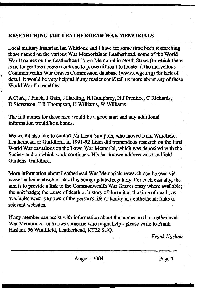#### **RESEARCHING THE LEATHERHEAD WAR MEMORIALS**

Local military historian Ian Whitlock and I have for some time been researching those named on the various War Memorials in Leatherhead. some of the World War II names on the Leatherhead Town Memorial in North Street (to which there is no longer free access) continue to prove difficult to locate in the marvellous Commonwealth War Graves Commission database (www.cwgc,org) for lack of detail. It would be very helpful if any reader could tell us more about any of these World War II casualties:

A Clark, J Finch, J Gain, J Harding, H Humphrey, H J Prentice, C Richards, D Stevenson, F R Thompson, H Williams, W Williams.

The full names for these men would be a good start and any additional information would be a bonus.

We would also like to contact Mr Liam Sumpton, who moved from Windfield Leatherhead, to Guildford. In 1991-92 Liam did tremendous research on the First World War casualties on the Town War Memorial, which was deposited with the Society and on which work continues. His last known address was Lindfield Gardens, Guildford.

More information about Leatherhead War Memorials research can be seen via [www.leatherheadweb.or.uk](http://www.leatherheadweb.or.uk) - this being updated regularly. For each casualty, the aim is to provide a link to the Commonwealth War Graves entry where available; the unit badge; the cause of death or history of the unit at the time of death, as available; what is known of the person's life or family in Leatherhead; links to relevant websites.

If any member can assist with information about the names on the Leatherhead War Memorials - or knows someone who might help - please write to Frank Haslam, 56 Windfield, Leatherhead, KT22 8UQ.

*Frank Haslam*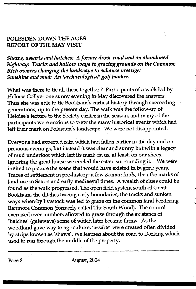#### **POLESDEN DOWN THE AGES REPORT OF THE MAY VISIT**

*Shows, assarts and hatches: A former drove road and an abandoned highway: Tracks and hollow ways to grazing grounds on the Common: Rich owners changing the landscape to enhance prestige: Sunshine and mud: An 'archaeological' golf bunker.*

What was there to tie all these together ? Participants of a walk led by Heloise Collyer one sunny evening in May discovered the answers. Thus she was able to tie Bookham's earliest history through succeeding generations, up to the present day. The walk was the follow-up of Heloise's lecture to the Society earlier in the season, and many of the participants were anxious to view the many historical events which had left their mark on Polesden's landscape. We were not disappointed.

Everyone had expected rain which had fallen earlier in the day and on previous evenings, but instead it was clear and sunny but with a legacy of mud underfoot which left its mark on us, at least, on our shoes. Ignoring the great house we circled the estate surrounding it. We were invited to picture the scene that would have existed in bygone years. Traces of settlement in pre-history: a few Roman finds, then the marks of land use in Saxon and early mediaeval times. A wealth of dues could be found as the walk progressed. The open field system south of Great Bookham, the ditches tracing early boundaries, the tracks and sunken ways whereby livestock was led to graze on the common land bordering Ranmore Common (formerly called The South Wood). The control exercised over numbers allowed to graze through the existence of 'hatches' (gateways) some of which later became farms. As the woodland gave way to agriculture, 'assarts' were created often divided by strips known as 'shaws'. We learned about the road to Dorking which used to run through the middle of the property.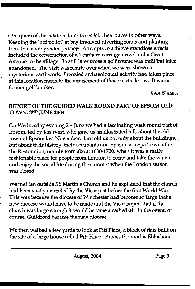Occupiers of the estate in later times left their traces in other ways. Keeping the "hoi polloi' at bay involved diverting roads and planting trees to ensure greater privacy. Attempts to achieve grandiose effects included the construction of a 'southern carriage drive' and a Great Avenue to the village. In still later times a golf course was built but later abandoned. The visit was nearly over when we were shown a mysterious earthwork. Frenzied archaeological activity had taken place at this location much to the amusement of those in the know. It was a former golf bunker.

ı,

*John Wettem*

#### REPORT OF THE GUIDED WALK ROUND PART OF EPSOM OLD TOWN, 2nd JUNE 2004

On Wednesday evening 2nd June we had a fascinating walk round part of Epsom, led by Ian West, who gave us an illustrated talk about the old town of Epsom last November. Ian told us not only about the buildings, but about their history, their occupants and Epsom as a Spa Town after the Restoration, mainly from about 1680-1720, when it was a really fashionable place for people from London to come and take the waters and enjoy the social life during the summer when the London season was closed.

We met Ian outside St. Martin's Church and he explained that the church had been vastly extended by the Vicar just before the first World War. This was because the diocese of Winchester had become so large that a new diocese would have to be made and the Vicar hoped that if the church was large enough it would become a cathedral. In the event, of course, Guildford became the new diocese.

We then walked a few yards to look at Pitt Place, a block of flats built on the site of a large house called Pitt Place. Across the road is Ebbisham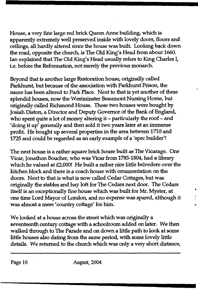House, a very fine large red brick Queen Anne building, which is apparently extremely well preserved inside with lovely doors, floors and ceilings, all hardly altered since the house was built. Looking back down the road, opposite the church, is The Old King's Head from about 1660. Ian explained that The Old King's Head usually refers to King Charles I, ie. before the Reformation, not merely the previous monarch.

Beyond that is another large Restoration house, originally called Parkhurst, but because of the association with Parkhurst Prison, the name has been altered to Park Place, Next to that is yet another of these splendid houses, now the Westminster Beaumont Nursing Home, but originally called Richmond House. These two houses were bought by Josiah Diston, a Director and Deputy Governor of the Bank of England, who spent quite a lot of money altering it - particularly the roof - and 'doing it up' generally and then sold it two years later at an immense profit. He bought up several properties in the area between 1710 and 1725 and could be regarded as an early example of a 'spec builder'!

The next house is a rather square brick house built *as* The Vicarage. One Vicar, Jonathon Boucher, who was Vicar from 1785-1804, had a library which he valued at £2,000! He built a rather nice little belvedere over the kitchen block and there is a coach house with ornamentation on the doors. Next to that is what is now called Cedar Cottages, but was originally the stables and hay loft for The Cedars next door. The Cedars itself is an exceptionally fine house which was built for Mr. Myster, at one time Lord Mayor of London, and no expense was spared, although it was almost a mere 'country cottage' for him.

We looked at a house across the street which was originally a seventeenth century cottage with a schoolroom added on later. We then walked through to The Parade and on down a little path to look at some little houses also dating from the same period, with some lovely little details. We returned to the church which was only a very short distance,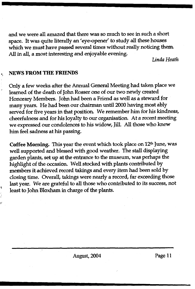and we were all amazed that there was so much to see in such a short space. It was quite literally an 'eye-opener' to study all these houses which we must have passed several times without really noticing them. All in all, a most interesting and enjoyable evening.

*Linda Heath*

#### NEWS FROM THE FRIENDS

Only a few weeks after the Annual General Meeting had taken place we learned of the death of John Rosser one of our two newly created Honorary Members. John had been a Friend as well as a steward for many years. He had been our chairman until 2000 having most ably served for five years in that position. We remember him for his kindness, cheerfulness and for his loyalty to our organisation. At a recent meeting we expressed our condolences to his widow, Jill. All those who knew him feel sadness at his passing.

Coffee Morning. This year the event which took place on  $12<sup>th</sup>$  June, was well supported and blessed with good weather. The stall displaying garden plants, set up at the entrance to the museum, was perhaps the highlight of the occasion. Well stocked with plants contributed by members it achieved record takings and every item had been sold by closing time. Overall, takings were nearly a record, far exceeding those last year. We are grateful to all those who contributed to its success, not least to John Bloxham in charge of the plants.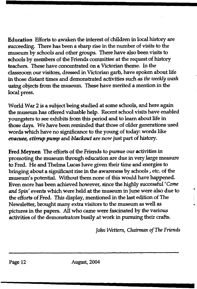Education Efforts to awaken the interest of children in local history are succeeding. There has been a sharp rise in the number of visits to the museum by schools and other groups. There have also been visits to schools by members of the Friends committee at the request of history teachers. These have concentrated on a Victorian theme. In the classroom our visitors, dressed in Victorian garb, have spoken about life in those distant times and demonstrated activities such as *the weekly wash* using objects from the museum. These have merited a mention in the local press.

World War 2 is a subject being studied at some schools, and here again the museum has offered valuable help. Recent school visits have enabled youngsters to see exhibits from this period and to learn about life in those days. We have been reminded that those of older generations used words which have no significance to the young of today: words like *evacuee, stirrup pump* and *blackout* are now just part of history.

Fred Meynen The efforts of the Friends to pursue our activities in promoting the museum through education are due in very large measure to Fred. He and Thelma Lucas have given their time and energies to bringing about a significant rise in the awareness by schools, etc. of the museum's potential. Without them none of this would have happened. Even more has been achieved however, since the highly successful*'Come and Spin*' events which were held at the museum in June were also due to the efforts of Fred. This display, mentioned in the last edition of The Newsletter, brought many extra visitors to the museum as well as pictures in the papers. All who came were fascinated by the various activities of the demonstrators busily at work in pursuing their crafts.

*John Wettem, Chairman of The Friends*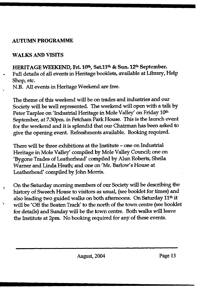#### **AUTUMN PROGRAMME**

#### **WALKS AND VISITS**

HERITAGE WEEKEND, Fri. 10<sup>th</sup>, Sat.11<sup>th</sup> & Sun. 12<sup>th</sup> September. Full details of all events in Heritage booklets, available at Library, Help Shop, etc.

N.B. All events in Heritage Weekend are free.

The theme of this weekend will be on trades and industries and our Society will be well represented. The weekend will open with a talk by Peter Tarplee on 'Industrial Heritage in Mole Valley' on Friday 10th September, at 7.30pm. in Fetcham Park House. This is the launch event for the weekend and it is splendid that our Chairman has been asked to give the opening event. Refreshments available. Booking required.

There will be three exhibitions at the Institute - one on Industrial Heritage in Mole Valley' compiled by Mole Valley Council; one on 'Bygone Trades of Leatherhead' compiled by Alun Roberts, Sheila Warner and Linda Heath; and one on 'Mr. Barlow's House at Leatherhead' compiled by John Morris.

On the Saturday morning members of our Society will be describing the history of Sweech House to visitors as usual, (see booklet for times) and also leading two guided walks on both afternoons. On Saturday 11<sup>th</sup> it will be 'Off the Beaten Track' to the north of the town centre (see booklet for details) and Sunday will be the town centre. Both walks will leave the Institute at 2pm. No booking required for any of these events.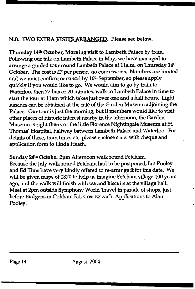### N.B. TWO EXTRA VISITS ARRANGED. Please see below.

Thursday 14th October, Morning visit to Lambeth Palace by train. Following our talk on Lambeth Palace in May, we have managed to arrange a guided tour round Lambeth Palace at 11a.m. on Thursday 14<sup>th</sup> October. The cost is £7 per person, no concessions. Numbers are limited and we must confirm or cancel by 16<sup>th</sup> September, so please apply quickly if you would like to go. We would aim to go by train to Waterloo, then 77 bus or 20 minutes, walk to Lambeth Palace in time to start the tour at 11am which takes just over one and a half hours. Light lunches can be obtained at the cafe of the Garden Museum adjoining the Palace. Our tour is just the morning, but if members would like to visit other places of historic interest nearby in the afternoon, the Garden Museum is right there, or the little Florence Nightingale Museum at St Thomas' Hospital, halfway between Lambeth Palace and Waterloo. For details of these, train times etc. please enclose s.a.e. with cheque and application form to Linda Heath.

Sunday 24<sup>th</sup> October 2pm Afternoon walk round Fetcham.

Because the July walk round Fetcham had to be postponed, Ian Pooley and Ed Tims have very kindly offered to re-arrange it for this date. We will be given maps of 1870 to help us imagine Fetcham village 100 years ago, and the walk will finish with tea and biscuits at the village hall. Meet at 2pm outside Symphony World Travel in parade of shops, just before Budgens in Gobham Rd. Cost £2 each. Applications to Alan Pooley.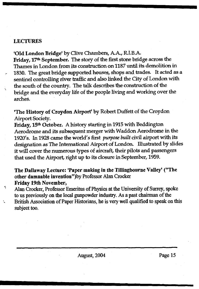#### LECTURES

'Old London Bridge' by Clive Chambers, A.A., R.I.B.A. Friday, 17th September. The story of the first stone bridge across the Thames in London from its construction on 1187 until its demolition in 1830. The great bridge supported houses, shops and trades. It acted as a sentinel controlling river traffic and also linked the City of London with the south of the country. The talk describes the construction of the bridge and the everyday life of the people living and working over the arches.

'The History of Croydon Airport' by Robert Duffett of the Croydon Airport Society.

Friday, 15th October. A history starting in 1915 with Beddington Aerodrome and its subsequent merger with Waddon Aerodrome in the 1920's. In 1928 came the world's first *purpose built* civil airport with its designation as The International Airport of London. Illustrated by slides it will cover the numerous types of aircraft, their pilots and passengers that used the Airport, right up to its closure in September, 1959.

#### The Dallaway Lecture: 'Paper making in the Tillingbourne Valley' ("The other damnable invention")by Professor Alan Crocker Friday 19th November,

Alan Crocker, Professor Emeritus of Physics at the University of Surrey, spoke to us previously on the local gunpowder industry. As a past chairman of the British Association of Paper Historians, he is very well qualified to speak on this subject too.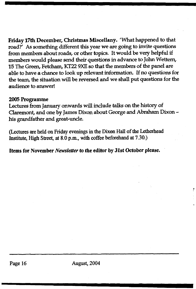Friday 17th December, Christmas Miscellany. "What happened to that road?' As something different this year we are going to invite questions from members about roads, or other topics. It would be very helpful if members would please send their questions in advance to John Wettem, 15 The Green, Fetcham, KT22 9XE so that the members of the panel are able to have a chance to look up relevant information. If no questions for the team, the situation will be reversed and we shall put questions for the audience to answer!

#### **2005 Programme**

Lectures from January onwards will include talks on the history of Claremont, and one by James Dixon about George and Abraham Dixon his grandfather and great-uncle.

(Lectures are held on Friday evenings in the Dixon Hall of the Letherhead Institute, High Street, at 8.0 p.m., with coffee beforehand at 7.30.)

**Items for November** *Newsletter* **to the editor by 31st October please.**